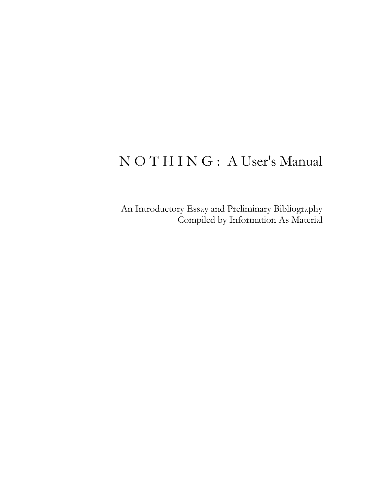#### N O T H I N G : A User's Manual

An Introductory Essay and Preliminary Bibliography Compiled by Information As Material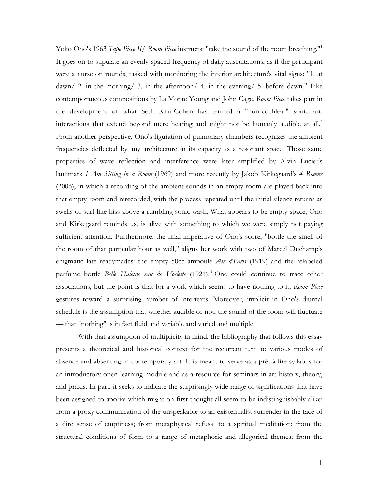Yoko Ono's 1963 *Tape Piece II/ Room Piece* instructs: "take the sound of the room breathing."1 It goes on to stipulate an evenly-spaced frequency of daily auscultations, as if the participant were a nurse on rounds, tasked with monitoring the interior architecture's vital signs: "1. at dawn/ 2. in the morning/ 3. in the afternoon/ 4. in the evening/ 5. before dawn." Like contemporaneous compositions by La Monte Young and John Cage, *Room Piece* takes part in the development of what Seth Kim-Cohen has termed a "non-cochlear" sonic art: interactions that extend beyond mere hearing and might not be humanly audible at all.<sup>2</sup> From another perspective, Ono's figuration of pulmonary chambers recognizes the ambient frequencies deflected by any architecture in its capacity as a resonant space. Those same properties of wave reflection and interference were later amplified by Alvin Lucier's landmark *I Am Sitting in a Room* (1969) and more recently by Jakob Kirkegaard's *4 Rooms* (2006), in which a recording of the ambient sounds in an empty room are played back into that empty room and rerecorded, with the process repeated until the initial silence returns as swells of surf-like hiss above a rumbling sonic wash. What appears to be empty space, Ono and Kirkegaard reminds us, is alive with something to which we were simply not paying sufficient attention. Furthermore, the final imperative of Ono's score, "bottle the smell of the room of that particular hour as well," aligns her work with two of Marcel Duchamp's enigmatic late readymades: the empty 50cc ampoule *Air d'Paris* (1919) and the relabeled perfume bottle *Belle Haleine eau de Voilette* (1921).<sup>3</sup> One could continue to trace other associations, but the point is that for a work which seems to have nothing to it, *Room Piece* gestures toward a surprising number of intertexts. Moreover, implicit in Ono's diurnal schedule is the assumption that whether audible or not, the sound of the room will fluctuate — that "nothing" is in fact fluid and variable and varied and multiple.

With that assumption of multiplicity in mind, the bibliography that follows this essay presents a theoretical and historical context for the recurrent turn to various modes of absence and absenting in contemporary art. It is meant to serve as a prêt-à-lire syllabus for an introductory open-learning module and as a resource for seminars in art history, theory, and praxis. In part, it seeks to indicate the surprisingly wide range of significations that have been assigned to aporiæ which might on first thought all seem to be indistinguishably alike: from a proxy communication of the unspeakable to an existentialist surrender in the face of a dire sense of emptiness; from metaphysical refusal to a spiritual meditation; from the structural conditions of form to a range of metaphoric and allegorical themes; from the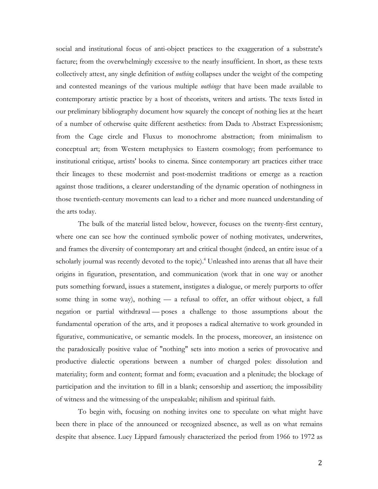social and institutional focus of anti-object practices to the exaggeration of a substrate's facture; from the overwhelmingly excessive to the nearly insufficient. In short, as these texts collectively attest, any single definition of *nothing* collapses under the weight of the competing and contested meanings of the various multiple *nothings* that have been made available to contemporary artistic practice by a host of theorists, writers and artists. The texts listed in our preliminary bibliography document how squarely the concept of nothing lies at the heart of a number of otherwise quite different aesthetics: from Dada to Abstract Expressionism; from the Cage circle and Fluxus to monochrome abstraction; from minimalism to conceptual art; from Western metaphysics to Eastern cosmology; from performance to institutional critique, artists' books to cinema. Since contemporary art practices either trace their lineages to these modernist and post-modernist traditions or emerge as a reaction against those traditions, a clearer understanding of the dynamic operation of nothingness in those twentieth-century movements can lead to a richer and more nuanced understanding of the arts today.

The bulk of the material listed below, however, focuses on the twenty-first century, where one can see how the continued symbolic power of nothing motivates, underwrites, and frames the diversity of contemporary art and critical thought (indeed, an entire issue of a scholarly journal was recently devoted to the topic). <sup>4</sup> Unleashed into arenas that all have their origins in figuration, presentation, and communication (work that in one way or another puts something forward, issues a statement, instigates a dialogue, or merely purports to offer some thing in some way), nothing — a refusal to offer, an offer without object, a full negation or partial withdrawal — poses a challenge to those assumptions about the fundamental operation of the arts, and it proposes a radical alternative to work grounded in figurative, communicative, or semantic models. In the process, moreover, an insistence on the paradoxically positive value of "nothing" sets into motion a series of provocative and productive dialectic operations between a number of charged poles: dissolution and materiality; form and content; format and form; evacuation and a plenitude; the blockage of participation and the invitation to fill in a blank; censorship and assertion; the impossibility of witness and the witnessing of the unspeakable; nihilism and spiritual faith.

To begin with, focusing on nothing invites one to speculate on what might have been there in place of the announced or recognized absence, as well as on what remains despite that absence. Lucy Lippard famously characterized the period from 1966 to 1972 as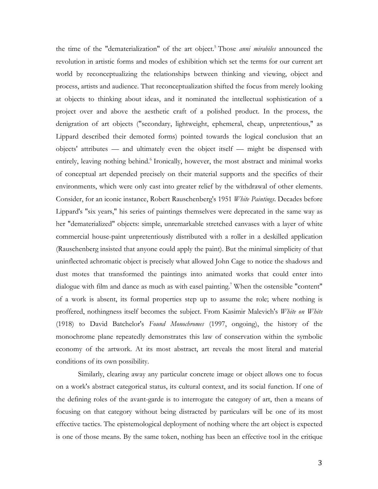the time of the "dematerialization" of the art object.5 Those *anni mirabiles* announced the revolution in artistic forms and modes of exhibition which set the terms for our current art world by reconceptualizing the relationships between thinking and viewing, object and process, artists and audience. That reconceptualization shifted the focus from merely looking at objects to thinking about ideas, and it nominated the intellectual sophistication of a project over and above the aesthetic craft of a polished product. In the process, the denigration of art objects ("secondary, lightweight, ephemeral, cheap, unpretentious," as Lippard described their demoted forms) pointed towards the logical conclusion that an objects' attributes — and ultimately even the object itself — might be dispensed with entirely, leaving nothing behind.<sup>6</sup> Ironically, however, the most abstract and minimal works of conceptual art depended precisely on their material supports and the specifics of their environments, which were only cast into greater relief by the withdrawal of other elements. Consider, for an iconic instance, Robert Rauschenberg's 1951 *White Paintings*. Decades before Lippard's "six years," his series of paintings themselves were deprecated in the same way as her "dematerialized" objects: simple, unremarkable stretched canvases with a layer of white commercial house-paint unpretentiously distributed with a roller in a deskilled application (Rauschenberg insisted that anyone could apply the paint). But the minimal simplicity of that uninflected achromatic object is precisely what allowed John Cage to notice the shadows and dust motes that transformed the paintings into animated works that could enter into dialogue with film and dance as much as with easel painting.<sup>7</sup> When the ostensible "content" of a work is absent, its formal properties step up to assume the role; where nothing is proffered, nothingness itself becomes the subject. From Kasimir Malevich's *White on White*  (1918) to David Batchelor's *Found Monochromes* (1997, ongoing), the history of the monochrome plane repeatedly demonstrates this law of conservation within the symbolic economy of the artwork. At its most abstract, art reveals the most literal and material conditions of its own possibility.

Similarly, clearing away any particular concrete image or object allows one to focus on a work's abstract categorical status, its cultural context, and its social function. If one of the defining roles of the avant-garde is to interrogate the category of art, then a means of focusing on that category without being distracted by particulars will be one of its most effective tactics. The epistemological deployment of nothing where the art object is expected is one of those means. By the same token, nothing has been an effective tool in the critique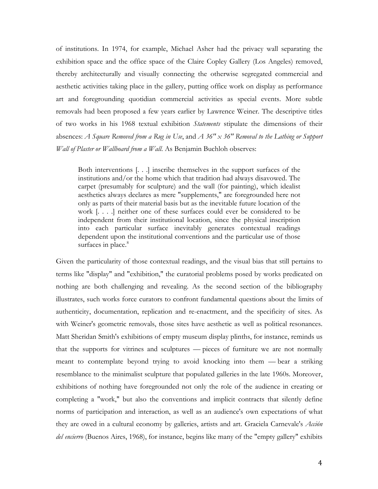of institutions. In 1974, for example, Michael Asher had the privacy wall separating the exhibition space and the office space of the Claire Copley Gallery (Los Angeles) removed, thereby architecturally and visually connecting the otherwise segregated commercial and aesthetic activities taking place in the gallery, putting office work on display as performance art and foregrounding quotidian commercial activities as special events. More subtle removals had been proposed a few years earlier by Lawrence Weiner. The descriptive titles of two works in his 1968 textual exhibition *Statements* stipulate the dimensions of their absences: *A Square Removed from a Rug in Use*, and *A 36" x 36" Removal to the Lathing or Support Wall of Plaster or Wallboard from a Wall*. As Benjamin Buchloh observes:

Both interventions [. . .] inscribe themselves in the support surfaces of the institutions and/or the home which that tradition had always disavowed. The carpet (presumably for sculpture) and the wall (for painting), which idealist aesthetics always declares as mere "supplements," are foregrounded here not only as parts of their material basis but as the inevitable future location of the work [. . . .] neither one of these surfaces could ever be considered to be independent from their institutional location, since the physical inscription into each particular surface inevitably generates contextual readings dependent upon the institutional conventions and the particular use of those surfaces in place.<sup>8</sup>

Given the particularity of those contextual readings, and the visual bias that still pertains to terms like "display" and "exhibition," the curatorial problems posed by works predicated on nothing are both challenging and revealing. As the second section of the bibliography illustrates, such works force curators to confront fundamental questions about the limits of authenticity, documentation, replication and re-enactment, and the specificity of sites. As with Weiner's geometric removals, those sites have aesthetic as well as political resonances. Matt Sheridan Smith's exhibitions of empty museum display plinths, for instance, reminds us that the supports for vitrines and sculptures — pieces of furniture we are not normally meant to contemplate beyond trying to avoid knocking into them — bear a striking resemblance to the minimalist sculpture that populated galleries in the late 1960s. Moreover, exhibitions of nothing have foregrounded not only the role of the audience in creating or completing a "work," but also the conventions and implicit contracts that silently define norms of participation and interaction, as well as an audience's own expectations of what they are owed in a cultural economy by galleries, artists and art. Graciela Carnevale's *Acción del encierro* (Buenos Aires, 1968), for instance, begins like many of the "empty gallery" exhibits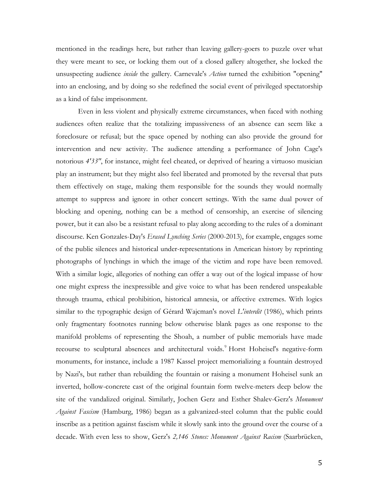mentioned in the readings here, but rather than leaving gallery-goers to puzzle over what they were meant to see, or locking them out of a closed gallery altogether, she locked the unsuspecting audience *inside* the gallery. Carnevale's *Action* turned the exhibition "opening" into an enclosing, and by doing so she redefined the social event of privileged spectatorship as a kind of false imprisonment.

Even in less violent and physically extreme circumstances, when faced with nothing audiences often realize that the totalizing impassiveness of an absence can seem like a foreclosure or refusal; but the space opened by nothing can also provide the ground for intervention and new activity. The audience attending a performance of John Cage's notorious *4'33"*, for instance, might feel cheated, or deprived of hearing a virtuoso musician play an instrument; but they might also feel liberated and promoted by the reversal that puts them effectively on stage, making them responsible for the sounds they would normally attempt to suppress and ignore in other concert settings. With the same dual power of blocking and opening, nothing can be a method of censorship, an exercise of silencing power, but it can also be a resistant refusal to play along according to the rules of a dominant discourse. Ken Gonzales-Day's *Erased Lynching Series* (2000-2013), for example, engages some of the public silences and historical under-representations in American history by reprinting photographs of lynchings in which the image of the victim and rope have been removed. With a similar logic, allegories of nothing can offer a way out of the logical impasse of how one might express the inexpressible and give voice to what has been rendered unspeakable through trauma, ethical prohibition, historical amnesia, or affective extremes. With logics similar to the typographic design of Gérard Wajcman's novel *L'interdit* (1986), which prints only fragmentary footnotes running below otherwise blank pages as one response to the manifold problems of representing the Shoah, a number of public memorials have made recourse to sculptural absences and architectural voids.<sup>9</sup> Horst Hoheisel's negative-form monuments, for instance, include a 1987 Kassel project memorializing a fountain destroyed by Nazi's, but rather than rebuilding the fountain or raising a monument Hoheisel sunk an inverted, hollow-concrete cast of the original fountain form twelve-meters deep below the site of the vandalized original. Similarly, Jochen Gerz and Esther Shalev-Gerz's *Monument Against Fascism* (Hamburg, 1986) began as a galvanized-steel column that the public could inscribe as a petition against fascism while it slowly sank into the ground over the course of a decade. With even less to show, Gerz's *2,146 Stones: Monument Against Racism* (Saarbrücken,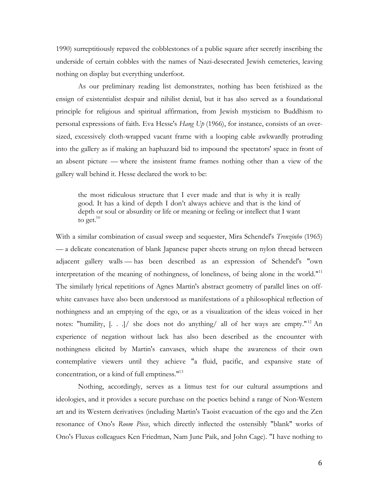1990) surreptitiously repaved the cobblestones of a public square after secretly inscribing the underside of certain cobbles with the names of Nazi-desecrated Jewish cemeteries, leaving nothing on display but everything underfoot.

As our preliminary reading list demonstrates, nothing has been fetishized as the ensign of existentialist despair and nihilist denial, but it has also served as a foundational principle for religious and spiritual affirmation, from Jewish mysticism to Buddhism to personal expressions of faith. Eva Hesse's *Hang Up* (1966), for instance, consists of an oversized, excessively cloth-wrapped vacant frame with a looping cable awkwardly protruding into the gallery as if making an haphazard bid to impound the spectators' space in front of an absent picture — where the insistent frame frames nothing other than a view of the gallery wall behind it. Hesse declared the work to be:

the most ridiculous structure that I ever made and that is why it is really good. It has a kind of depth I don't always achieve and that is the kind of depth or soul or absurdity or life or meaning or feeling or intellect that I want to get. $10$ 

With a similar combination of casual sweep and sequester, Mira Schendel's *Trenzinho* (1965) — a delicate concatenation of blank Japanese paper sheets strung on nylon thread between adjacent gallery walls — has been described as an expression of Schendel's "own interpretation of the meaning of nothingness, of loneliness, of being alone in the world."<sup>11</sup> The similarly lyrical repetitions of Agnes Martin's abstract geometry of parallel lines on offwhite canvases have also been understood as manifestations of a philosophical reflection of nothingness and an emptying of the ego, or as a visualization of the ideas voiced in her notes: "humility, [. . .]/ she does not do anything/ all of her ways are empty." <sup>12</sup> An experience of negation without lack has also been described as the encounter with nothingness elicited by Martin's canvases, which shape the awareness of their own contemplative viewers until they achieve "a fluid, pacific, and expansive state of concentration, or a kind of full emptiness."13

Nothing, accordingly, serves as a litmus test for our cultural assumptions and ideologies, and it provides a secure purchase on the poetics behind a range of Non-Western art and its Western derivatives (including Martin's Taoist evacuation of the ego and the Zen resonance of Ono's *Room Piece*, which directly inflected the ostensibly "blank" works of Ono's Fluxus colleagues Ken Friedman, Nam June Paik, and John Cage). "I have nothing to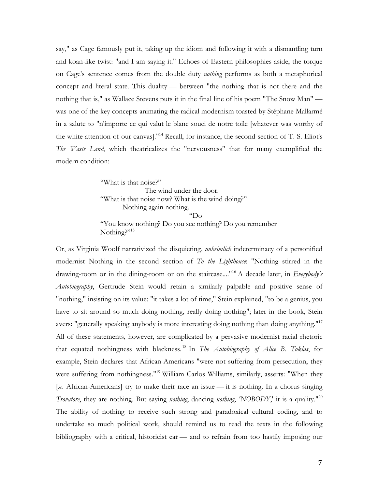say," as Cage famously put it, taking up the idiom and following it with a dismantling turn and koan-like twist: "and I am saying it." Echoes of Eastern philosophies aside, the torque on Cage's sentence comes from the double duty *nothing* performs as both a metaphorical concept and literal state. This duality — between "the nothing that is not there and the nothing that is," as Wallace Stevens puts it in the final line of his poem "The Snow Man" was one of the key concepts animating the radical modernism toasted by Stéphane Mallarmé in a salute to "n'importe ce qui valut le blanc souci de notre toile [whatever was worthy of the white attention of our canvas]."14 Recall, for instance, the second section of T. S. Eliot's *The Waste Land*, which theatricalizes the "nervousness" that for many exemplified the modern condition:

> "What is that noise?" The wind under the door. "What is that noise now? What is the wind doing?" Nothing again nothing. "Do "You know nothing? Do you see nothing? Do you remember Nothing?"<sup>15</sup>

Or, as Virginia Woolf narrativized the disquieting, *unheimlich* indeterminacy of a personified modernist Nothing in the second section of *To the Lighthouse*: "Nothing stirred in the drawing-room or in the dining-room or on the staircase...."16 A decade later, in *Everybody's Autobiography*, Gertrude Stein would retain a similarly palpable and positive sense of "nothing," insisting on its value: "it takes a lot of time," Stein explained, "to be a genius, you have to sit around so much doing nothing, really doing nothing"; later in the book, Stein avers: "generally speaking anybody is more interesting doing nothing than doing anything."<sup>17</sup> All of these statements, however, are complicated by a pervasive modernist racial rhetoric that equated nothingness with blackness. <sup>18</sup> In *The Autobiography of Alice B. Toklas*, for example, Stein declares that African-Americans "were not suffering from persecution, they were suffering from nothingness."<sup>19</sup> William Carlos Williams, similarly, asserts: "When they [*sc*. African-Americans] try to make their race an issue — it is nothing. In a chorus singing *Trovatore*, they are nothing. But saying *nothing*, dancing *nothing*, *'NOBODY*,' it is a quality."20 The ability of nothing to receive such strong and paradoxical cultural coding, and to undertake so much political work, should remind us to read the texts in the following bibliography with a critical, historicist ear — and to refrain from too hastily imposing our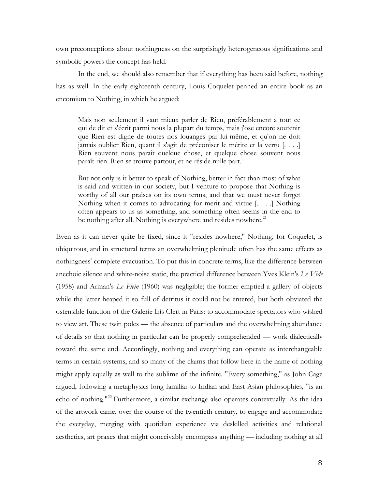own preconceptions about nothingness on the surprisingly heterogeneous significations and symbolic powers the concept has held.

In the end, we should also remember that if everything has been said before, nothing has as well. In the early eighteenth century, Louis Coquelet penned an entire book as an encomium to Nothing, in which he argued:

Mais non seulement il vaut mieux parler de Rien, préférablement à tout ce qui de dit et s'écrit parmi nous la plupart du temps, mais j'ose encore soutenir que Rien est digne de toutes nos louanges par lui-même, et qu'on ne doit jamais oublier Rien, quant il s'agit de préconiser le mérite et la vertu [. . . .] Rien souvent nous paraît quelque chose, et quelque chose souvent nous paraît rien. Rien se trouve partout, et ne réside nulle part.

But not only is it better to speak of Nothing, better in fact than most of what is said and written in our society, but I venture to propose that Nothing is worthy of all our praises on its own terms, and that we must never forget Nothing when it comes to advocating for merit and virtue [. . . .] Nothing often appears to us as something, and something often seems in the end to be nothing after all. Nothing is everywhere and resides nowhere.<sup>21</sup>

Even as it can never quite be fixed, since it "resides nowhere," Nothing, for Coquelet, is ubiquitous, and in structural terms an overwhelming plenitude often has the same effects as nothingness' complete evacuation. To put this in concrete terms, like the difference between anechoic silence and white-noise static, the practical difference between Yves Klein's *Le Vide*  (1958) and Arman's *Le Plein* (1960) was negligible; the former emptied a gallery of objects while the latter heaped it so full of detritus it could not be entered, but both obviated the ostensible function of the Galerie Iris Clert in Paris: to accommodate spectators who wished to view art. These twin poles — the absence of particulars and the overwhelming abundance of details so that nothing in particular can be properly comprehended — work dialectically toward the same end. Accordingly, nothing and everything can operate as interchangeable terms in certain systems, and so many of the claims that follow here in the name of nothing might apply equally as well to the sublime of the infinite. "Every something," as John Cage argued, following a metaphysics long familiar to Indian and East Asian philosophies, "is an echo of nothing."<sup>22</sup> Furthermore, a similar exchange also operates contextually. As the idea of the artwork came, over the course of the twentieth century, to engage and accommodate the everyday, merging with quotidian experience via deskilled activities and relational aesthetics, art praxes that might conceivably encompass anything — including nothing at all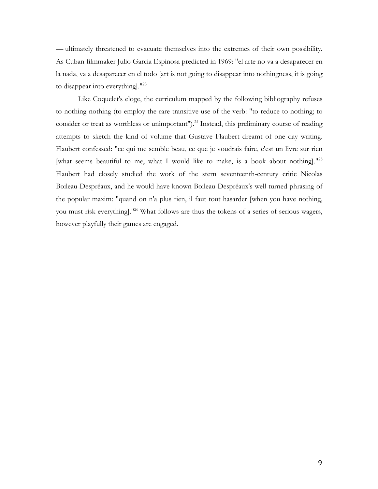— ultimately threatened to evacuate themselves into the extremes of their own possibility. As Cuban filmmaker Julio Garcia Espinosa predicted in 1969: "el arte no va a desaparecer en la nada, va a desaparecer en el todo [art is not going to disappear into nothingness, it is going to disappear into everything]."<sup>23</sup>

Like Coquelet's eloge, the curriculum mapped by the following bibliography refuses to nothing nothing (to employ the rare transitive use of the verb: "to reduce to nothing; to consider or treat as worthless or unimportant").<sup>24</sup> Instead, this preliminary course of reading attempts to sketch the kind of volume that Gustave Flaubert dreamt of one day writing. Flaubert confessed: "ce qui me semble beau, ce que je voudrais faire, c'est un livre sur rien [what seems beautiful to me, what I would like to make, is a book about nothing]."<sup>25</sup> Flaubert had closely studied the work of the stern seventeenth-century critic Nicolas Boileau-Despréaux, and he would have known Boileau-Despréaux's well-turned phrasing of the popular maxim: "quand on n'a plus rien, il faut tout hasarder [when you have nothing, you must risk everything]."26 What follows are thus the tokens of a series of serious wagers, however playfully their games are engaged.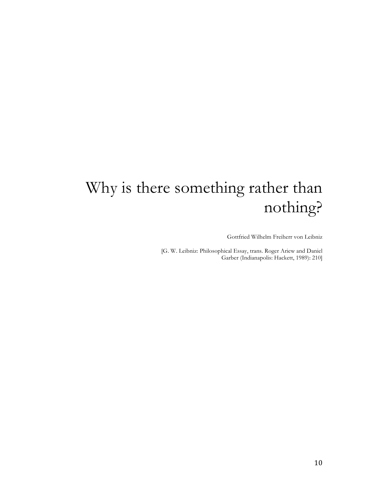## Why is there something rather than nothing?

Gottfried Wilhelm Freiherr von Leibniz

[G. W. Leibniz: Philosophical Essay, trans. Roger Ariew and Daniel Garber (Indianapolis: Hackett, 1989): 210]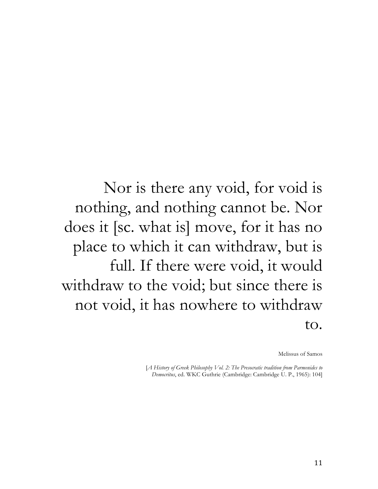Nor is there any void, for void is nothing, and nothing cannot be. Nor does it [sc. what is] move, for it has no place to which it can withdraw, but is full. If there were void, it would withdraw to the void; but since there is not void, it has nowhere to withdraw to.

Melissus of Samos

[*A History of Greek Philosophy Vol. 2: The Presocratic tradition from Parmenides to Democritus*, ed. WKC Guthrie (Cambridge: Cambridge U. P., 1965): 104]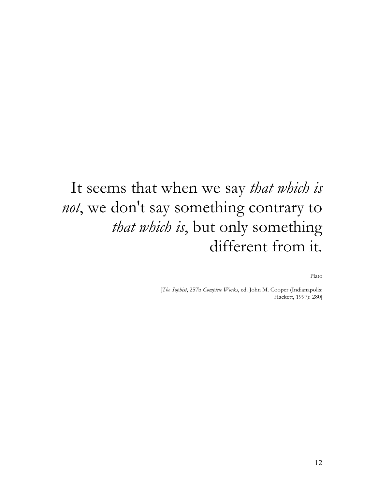## It seems that when we say *that which is not*, we don't say something contrary to *that which is*, but only something different from it.

Plato

[*The Sophist*, 257b *Complete Works*, ed. John M. Cooper (Indianapolis: Hackett, 1997): 280]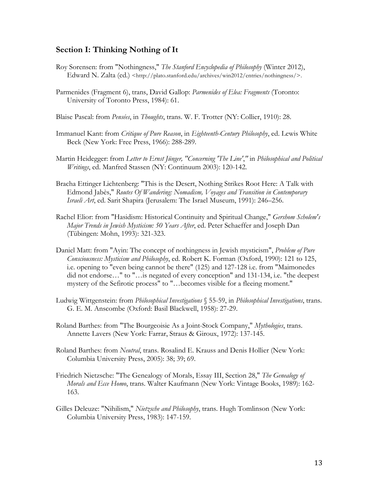#### **Section I: Thinking Nothing of It**

- Roy Sorensen: from "Nothingness," *The Stanford Encyclopedia of Philosophy* (Winter 2012), Edward N. Zalta (ed.) <http://plato.stanford.edu/archives/win2012/entries/nothingness/>.
- Parmenides (Fragment 6), trans, David Gallop: *Parmenides of Elea: Fragments* (Toronto: University of Toronto Press, 1984): 61.
- Blaise Pascal: from *Pensées*, in *Thoughts*, trans. W. F. Trotter (NY: Collier, 1910): 28.
- Immanuel Kant: from *Critique of Pure Reason*, in *Eighteenth-Century Philosophy*, ed. Lewis White Beck (New York: Free Press, 1966): 288-289.
- Martin Heidegger: from *Letter to Ernst Jünger, "Concerning 'The Line'*,*"* in *Philosophical and Political Writings*, ed. Manfred Stassen (NY: Continuum 2003): 120-142.
- Bracha Ettinger Lichtenberg: "This is the Desert, Nothing Strikes Root Here: A Talk with Edmond Jabès," *Routes Of Wandering: Nomadism, Voyages and Transition in Contemporary Israeli Art*, ed. Sarit Shapira (Jerusalem: The Israel Museum, 1991): 246–256.
- Rachel Elior: from "Hasidism: Historical Continuity and Spiritual Change," *Gershom Scholem's Major Trends in Jewish Mysticism: 50 Years After*, ed. Peter Schaeffer and Joseph Dan (Tübingen: Mohn, 1993): 321-323.
- Daniel Matt: from "Ayin: The concept of nothingness in Jewish mysticism", *Problem of Pure Consciousness: Mysticism and Philosophy*, ed. Robert K. Forman (Oxford, 1990): 121 to 125, i.e. opening to "even being cannot be there" (125) and 127-128 i.e. from "Maimonedes did not endorse…" to "…is negated of every conception" and 131-134, i.e. "the deepest mystery of the Sefirotic process" to "…becomes visible for a fleeing moment."
- Ludwig Wittgenstein: from *Philosophical Investigations* § 55-59, in *Philosophical Investigations*, trans. G. E. M. Anscombe (Oxford: Basil Blackwell, 1958): 27-29.
- Roland Barthes: from "The Bourgeoisie As a Joint-Stock Company," *Mythologies*, trans. Annette Lavers (New York: Farrar, Straus & Giroux, 1972): 137-145.
- Roland Barthes: from *Neutral*, trans. Rosalind E. Krauss and Denis Hollier (New York: Columbia University Press, 2005): 38; 39; 69.
- Friedrich Nietzsche: "The Genealogy of Morals, Essay III, Section 28," *The Genealogy of Morals and Ecce Homo*, trans. Walter Kaufmann (New York: Vintage Books, 1989): 162- 163.
- Gilles Deleuze: "Nihilism," *Nietzsche and Philosophy*, trans. Hugh Tomlinson (New York: Columbia University Press, 1983): 147-159.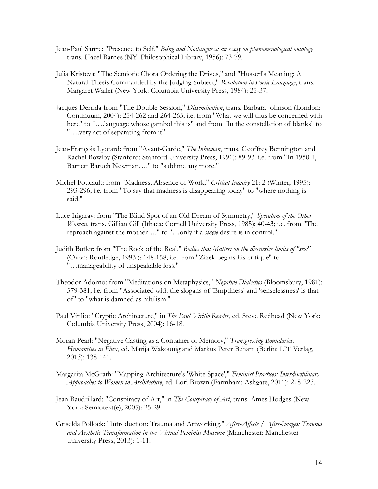- Jean-Paul Sartre: "Presence to Self," *Being and Nothingness: an essay on phenomenological ontology* trans. Hazel Barnes (NY: Philosophical Library, 1956): 73-79.
- Julia Kristeva: "The Semiotic Chora Ordering the Drives," and "Husserl's Meaning: A Natural Thesis Commanded by the Judging Subject," *Revolution in Poetic Language*, trans. Margaret Waller (New York: Columbia University Press, 1984): 25-37.
- Jacques Derrida from "The Double Session," *Dissemination*, trans. Barbara Johnson (London: Continuum, 2004): 254-262 and 264-265; i.e. from "What we will thus be concerned with here" to "….language whose gambol this is" and from "In the constellation of blanks" to "….very act of separating from it".
- Jean-François Lyotard: from "Avant-Garde," *The Inhuman*, trans. Geoffrey Bennington and Rachel Bowlby (Stanford: Stanford University Press, 1991): 89-93. i.e. from "In 1950-1, Barnett Baruch Newman…." to "sublime any more."
- Michel Foucault: from "Madness, Absence of Work," *Critical Inquiry* 21: 2 (Winter, 1995): 293-296; i.e. from "To say that madness is disappearing today" to "where nothing is said."
- Luce Irigaray: from "The Blind Spot of an Old Dream of Symmetry," *Speculum of the Other Woman*, trans. Gillian Gill (Ithaca: Cornell University Press, 1985): 40-43; i.e. from "The reproach against the mother…." to "…only if a *single* desire is in control."
- Judith Butler: from "The Rock of the Real," *Bodies that Matter: on the discursive limits of "sex"* (Oxon: Routledge, 1993 ): 148-158; i.e. from "Zizek begins his critique" to "…manageability of unspeakable loss."
- Theodor Adorno: from "Meditations on Metaphysics," *Negative Dialectics* (Bloomsbury, 1981): 379-381; i.e. from "Associated with the slogans of 'Emptiness' and 'senselessness' is that of" to "what is damned as nihilism."
- Paul Virilio: "Cryptic Architecture," in *The Paul Virilio Reader*, ed. Steve Redhead (New York: Columbia University Press, 2004): 16-18.
- Moran Pearl: "Negative Casting as a Container of Memory," *Transgressing Boundaries: Humanities in Flux*, ed. Marija Wakounig and Markus Peter Beham (Berlin: LIT Verlag, 2013): 138-141.
- Margarita McGrath: "Mapping Architecture's 'White Space'," *Feminist Practices: Interdisciplinary Approaches to Women in Architecture*, ed. Lori Brown (Farmham: Ashgate, 2011): 218-223.
- Jean Baudrillard: "Conspiracy of Art," in *The Conspiracy of Art*, trans. Ames Hodges (New York: Semiotext(e), 2005): 25-29.
- Griselda Pollock: "Introduction: Trauma and Artworking," *After-Affects / After-Images: Trauma and Aesthetic Transformation in the Virtual Feminist Museum* (Manchester: Manchester University Press, 2013): 1-11.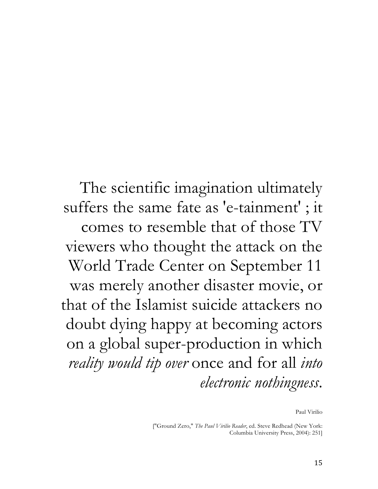The scientific imagination ultimately suffers the same fate as 'e-tainment' ; it comes to resemble that of those TV viewers who thought the attack on the World Trade Center on September 11 was merely another disaster movie, or that of the Islamist suicide attackers no doubt dying happy at becoming actors on a global super-production in which *reality would tip over* once and for all *into electronic nothingness*.

Paul Virilio

["Ground Zero," *The Paul Virilio Reader*, ed. Steve Redhead (New York: Columbia University Press, 2004): 251]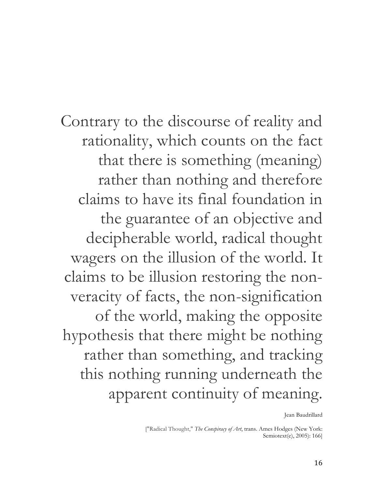Contrary to the discourse of reality and rationality, which counts on the fact that there is something (meaning) rather than nothing and therefore claims to have its final foundation in the guarantee of an objective and decipherable world, radical thought wagers on the illusion of the world. It claims to be illusion restoring the nonveracity of facts, the non-signification of the world, making the opposite hypothesis that there might be nothing rather than something, and tracking this nothing running underneath the apparent continuity of meaning.

Jean Baudrillard

["Radical Thought," *The Conspiracy of Art*, trans. Ames Hodges (New York: Semiotext(e), 2005): 166]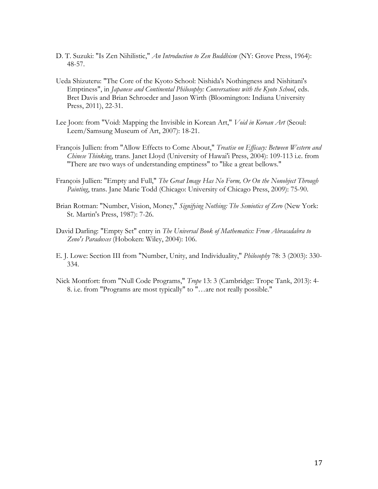- D. T. Suzuki: "Is Zen Nihilistic," *An Introduction to Zen Buddhism* (NY: Grove Press, 1964): 48-57.
- Ueda Shizuteru: "The Core of the Kyoto School: Nishida's Nothingness and Nishitani's Emptiness", in *Japanese and Continental Philosophy: Conversations with the Kyoto School*, eds. Bret Davis and Brian Schroeder and Jason Wirth (Bloomington: Indiana University Press, 2011), 22-31.
- Lee Joon: from "Void: Mapping the Invisible in Korean Art," *Void in Korean Art* (Seoul: Leem/Samsung Museum of Art, 2007): 18-21.
- François Jullien: from "Allow Effects to Come About," *Treatise on Efficacy: Between Western and Chinese Thinking*, trans. Janet Lloyd (University of Hawai'i Press, 2004): 109-113 i.e. from "There are two ways of understanding emptiness" to "like a great bellows."
- François Jullien: "Empty and Full," *The Great Image Has No Form, Or On the Nonobject Through Painting*, trans. Jane Marie Todd (Chicago: University of Chicago Press, 2009): 75-90.
- Brian Rotman: "Number, Vision, Money," *Signifying Nothing: The Semiotics of Zero* (New York: St. Martin's Press, 1987): 7-26.
- David Darling: "Empty Set" entry in *The Universal Book of Mathematics: From Abracadabra to Zeno's Paradoxes* (Hoboken: Wiley, 2004): 106.
- E. J. Lowe: Section III from "Number, Unity, and Individuality," *Philosophy* 78: 3 (2003): 330- 334.
- Nick Montfort: from "Null Code Programs," *Trope* 13: 3 (Cambridge: Trope Tank, 2013): 4- 8. i.e. from "Programs are most typically" to "…are not really possible."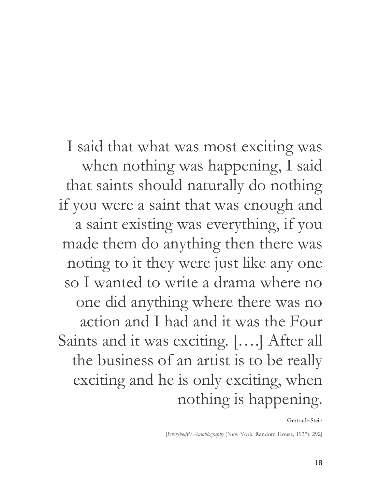I said that what was most exciting was when nothing was happening, I said that saints should naturally do nothing if you were a saint that was enough and a saint existing was everything, if you made them do anything then there was noting to it they were just like any one so I wanted to write a drama where no one did anything where there was no action and I had and it was the Four Saints and it was exciting. [….] After all the business of an artist is to be really exciting and he is only exciting, when nothing is happening.

Gertrude Stein

[*Everybody's Autobiography* (New York: Random House, 1937): 292]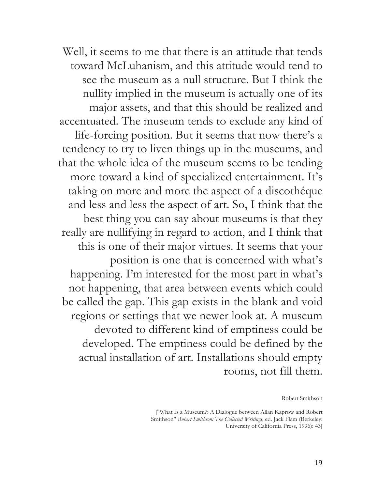Well, it seems to me that there is an attitude that tends toward McLuhanism, and this attitude would tend to see the museum as a null structure. But I think the nullity implied in the museum is actually one of its major assets, and that this should be realized and accentuated. The museum tends to exclude any kind of life-forcing position. But it seems that now there's a tendency to try to liven things up in the museums, and that the whole idea of the museum seems to be tending more toward a kind of specialized entertainment. It's taking on more and more the aspect of a discothéque and less and less the aspect of art. So, I think that the best thing you can say about museums is that they really are nullifying in regard to action, and I think that this is one of their major virtues. It seems that your position is one that is concerned with what's happening. I'm interested for the most part in what's not happening, that area between events which could be called the gap. This gap exists in the blank and void regions or settings that we newer look at. A museum devoted to different kind of emptiness could be developed. The emptiness could be defined by the actual installation of art. Installations should empty rooms, not fill them.

Robert Smithson

["What Is a Museum?: A Dialogue between Allan Kaprow and Robert Smithson" *Robert Smithson: The Collected Writings*, ed. Jack Flam (Berkeley: University of California Press, 1996): 43]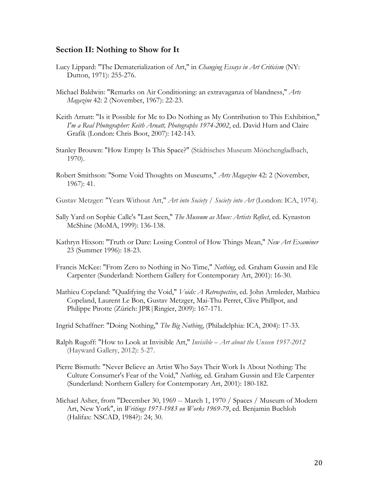#### **Section II: Nothing to Show for It**

- Lucy Lippard: "The Dematerialization of Art," in *Changing Essays in Art Criticism* (NY: Dutton, 1971): 255-276.
- Michael Baldwin: "Remarks on Air Conditioning: an extravaganza of blandness," *Arts Magazine* 42: 2 (November, 1967): 22-23.
- Keith Arnatt: "Is it Possible for Me to Do Nothing as My Contribution to This Exhibition," *I'm a Real Photographer: Keith Arnatt, Photographs 1974-2002*, ed. David Hurn and Claire Grafik (London: Chris Boot, 2007): 142-143.
- Stanley Brouwn: "How Empty Is This Space?" (Städtisches Museum Mönchengladbach, 1970).
- Robert Smithson: "Some Void Thoughts on Museums," *Arts Magazine* 42: 2 (November, 1967): 41.
- Gustav Metzger: "Years Without Art," *Art into Society / Society into Art* (London: ICA, 1974).
- Sally Yard on Sophie Calle's "Last Seen," *The Museum as Muse: Artists Reflect*, ed. Kynaston McShine (MoMA, 1999): 136-138.
- Kathryn Hixson: "Truth or Dare: Losing Control of How Things Mean," *New Art Examiner*  23 (Summer 1996): 18-23.
- Francis McKee: "From Zero to Nothing in No Time," *Nothing*, ed. Graham Gussin and Ele Carpenter (Sunderland: Northern Gallery for Contemporary Art, 2001): 16-30.
- Mathieu Copeland: "Qualifying the Void," *Voids: A Retrospective*, ed. John Armleder, Mathieu Copeland, Laurent Le Bon, Gustav Metzger, Mai-Thu Perret, Clive Phillpot, and Philippe Pirotte (Zürich: JPR|Ringier, 2009): 167-171.
- Ingrid Schaffner: "Doing Nothing," *The Big Nothing*, (Philadelphia: ICA, 2004): 17-33.
- Ralph Rugoff: "How to Look at Invisible Art," *Invisible – Art about the Unseen 1957-2012* (Hayward Gallery, 2012): 5-27.
- Pierre Bismuth: "Never Believe an Artist Who Says Their Work Is About Nothing: The Culture Consumer's Fear of the Void," *Nothing*, ed. Graham Gussin and Ele Carpenter (Sunderland: Northern Gallery for Contemporary Art, 2001): 180-182.
- Michael Asher, from "December 30, 1969 -- March 1, 1970 / Spaces / Museum of Modern Art, New York", in *Writings 1973-1983 on Works 1969-79*, ed. Benjamin Buchloh (Halifax: NSCAD, 1984?): 24; 30.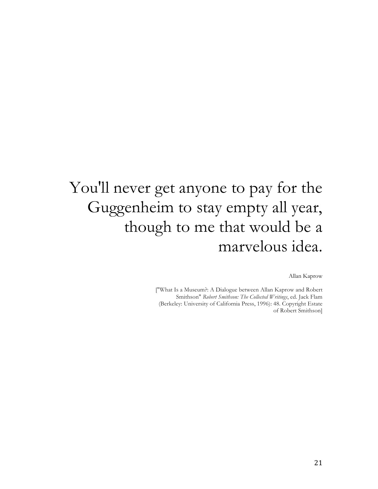## You'll never get anyone to pay for the Guggenheim to stay empty all year, though to me that would be a marvelous idea.

Allan Kaprow

["What Is a Museum?: A Dialogue between Allan Kaprow and Robert Smithson" *Robert Smithson: The Collected Writings*, ed. Jack Flam (Berkeley: University of California Press, 1996): 48. Copyright Estate of Robert Smithson]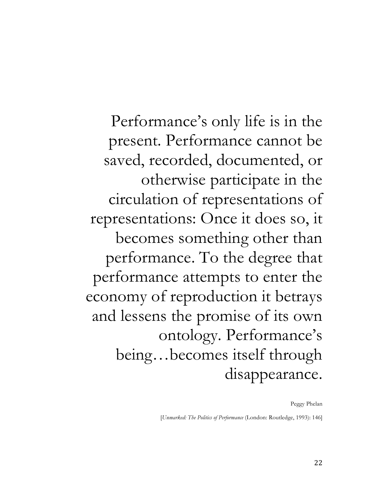Performance's only life is in the present. Performance cannot be saved, recorded, documented, or otherwise participate in the circulation of representations of representations: Once it does so, it becomes something other than performance. To the degree that performance attempts to enter the economy of reproduction it betrays and lessens the promise of its own ontology. Performance's being…becomes itself through disappearance.

Peggy Phelan

[*Unmarked: The Politics of Performance* (London: Routledge, 1993): 146]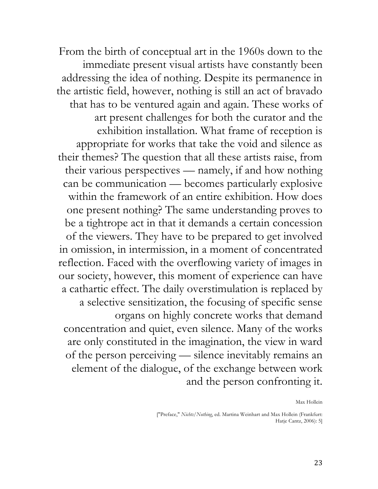From the birth of conceptual art in the 1960s down to the immediate present visual artists have constantly been addressing the idea of nothing. Despite its permanence in the artistic field, however, nothing is still an act of bravado that has to be ventured again and again. These works of art present challenges for both the curator and the exhibition installation. What frame of reception is appropriate for works that take the void and silence as their themes? The question that all these artists raise, from their various perspectives — namely, if and how nothing can be communication — becomes particularly explosive within the framework of an entire exhibition. How does one present nothing? The same understanding proves to be a tightrope act in that it demands a certain concession of the viewers. They have to be prepared to get involved in omission, in intermission, in a moment of concentrated reflection. Faced with the overflowing variety of images in our society, however, this moment of experience can have a cathartic effect. The daily overstimulation is replaced by a selective sensitization, the focusing of specific sense organs on highly concrete works that demand concentration and quiet, even silence. Many of the works are only constituted in the imagination, the view in ward of the person perceiving — silence inevitably remains an element of the dialogue, of the exchange between work and the person confronting it.

Max Hollein

["Preface," *Nichts/Nothing*, ed. Martina Weinhart and Max Hollein (Frankfurt: Hatje Cantz, 2006): 5]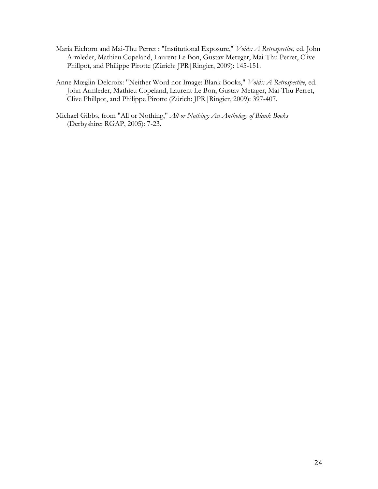- Maria Eichorn and Mai-Thu Perret : "Institutional Exposure," *Voids: A Retrospective*, ed. John Armleder, Mathieu Copeland, Laurent Le Bon, Gustav Metzger, Mai-Thu Perret, Clive Phillpot, and Philippe Pirotte (Zürich: JPR|Ringier, 2009): 145-151.
- Anne Mœglin-Delcroix: "Neither Word nor Image: Blank Books," *Voids: A Retrospective*, ed. John Armleder, Mathieu Copeland, Laurent Le Bon, Gustav Metzger, Mai-Thu Perret, Clive Phillpot, and Philippe Pirotte (Zürich: JPR|Ringier, 2009): 397-407.
- Michael Gibbs, from "All or Nothing," *All or Nothing: An Anthology of Blank Books*  (Derbyshire: RGAP, 2005): 7-23.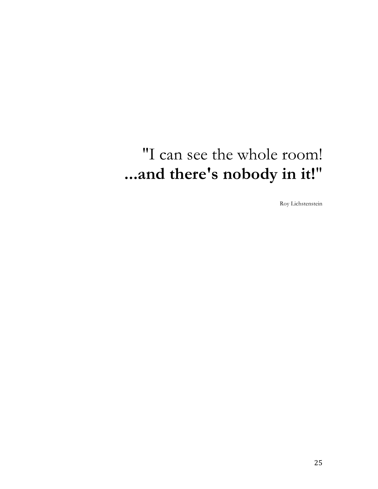## "I can see the whole room! **...and there's nobody in it!**"

Roy Lichstenstein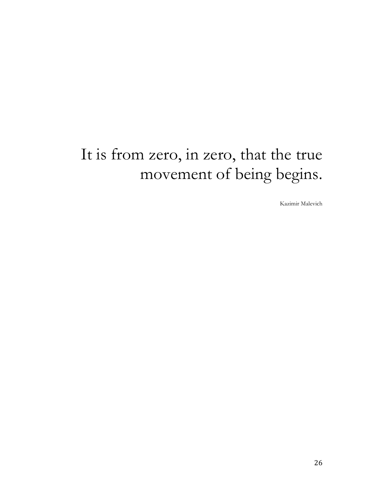## It is from zero, in zero, that the true movement of being begins.

Kazimir Malevich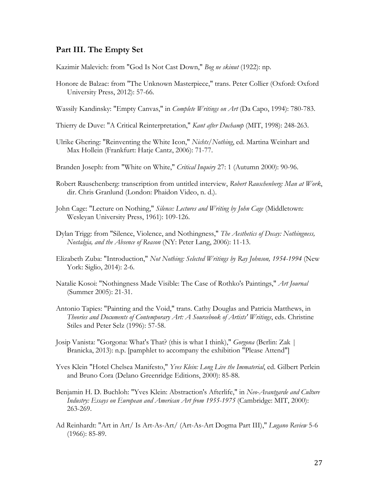#### **Part III. The Empty Set**

Kazimir Malevich: from "God Is Not Cast Down," *Bog ne skinut* (1922): np.

- Honore de Balzac: from "The Unknown Masterpiece," trans. Peter Collier (Oxford: Oxford University Press, 2012): 57-66.
- Wassily Kandinsky: "Empty Canvas," in *Complete Writings on Art* (Da Capo, 1994): 780-783.
- Thierry de Duve: "A Critical Reinterpretation," *Kant after Duchamp* (MIT, 1998): 248-263.
- Ulrike Ghering: "Reinventing the White Icon," *Nichts/Nothing*, ed. Martina Weinhart and Max Hollein (Frankfurt: Hatje Cantz, 2006): 71-77.
- Branden Joseph: from "White on White," *Critical Inquiry* 27: 1 (Autumn 2000): 90-96.
- Robert Rauschenberg: transcription from untitled interview, *Robert Rauschenberg: Man at Work*, dir. Chris Granlund (London: Phaidon Video, n. d.).
- John Cage: "Lecture on Nothing," *Silence: Lectures and Writing by John Cage* (Middletown: Wesleyan University Press, 1961): 109-126.
- Dylan Trigg: from "Silence, Violence, and Nothingness," *The Aesthetics of Decay: Nothingness, Nostalgia, and the Absence of Reason* (NY: Peter Lang, 2006): 11-13.
- Elizabeth Zuba: "Introduction," *Not Nothing: Selected Writings by Ray Johnson, 1954-1994* (New York: Siglio, 2014): 2-6.
- Natalie Kosoi: "Nothingness Made Visible: The Case of Rothko's Paintings," *Art Journal* (Summer 2005): 21-31.
- Antonio Tapies: "Painting and the Void," trans. Cathy Douglas and Patricia Matthews, in *Theories and Documents of Contemporary Art: A Sourcebook of Artists' Writings*, eds. Christine Stiles and Peter Selz (1996): 57-58.
- Josip Vanista: "Gorgona: What's That? (this is what I think)," *Gorgona* (Berlin: Zak | Branicka, 2013): n.p. [pamphlet to accompany the exhibition "Please Attend"]
- Yves Klein "Hotel Chelsea Manifesto," *Yves Klein: Long Live the Immaterial*, ed. Gilbert Perlein and Bruno Cora (Delano Greenridge Editions, 2000): 85-88.
- Benjamin H. D. Buchloh: "Yves Klein: Abstraction's Afterlife," in *Neo-Avantgarde and Culture Industry: Essays on European and American Art from 1955-1975* (Cambridge: MIT, 2000): 263-269.
- Ad Reinhardt: "Art in Art/ Is Art-As-Art/ (Art-As-Art Dogma Part III)," *Lugano Review* 5-6 (1966): 85-89.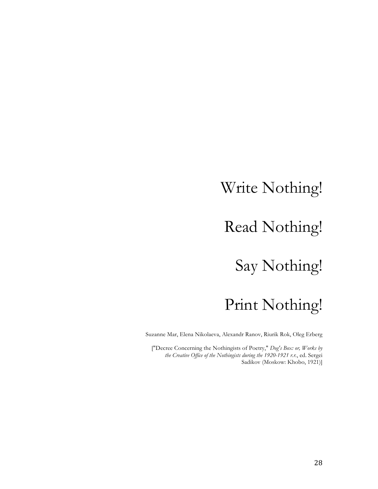### Write Nothing!

### Read Nothing!

### Say Nothing!

## Print Nothing!

Suzanne Mar, Elena Nikolaeva, Alexandr Ranov, Riurik Rok, Oleg Erberg

["Decree Concerning the Nothingists of Poetry," *Dog's Box: or, Works by the Creative Office of the Nothingists during the 1920-1921 r.r.*, ed. Sergei Sadikov (Moskow: Khobo, 1921)]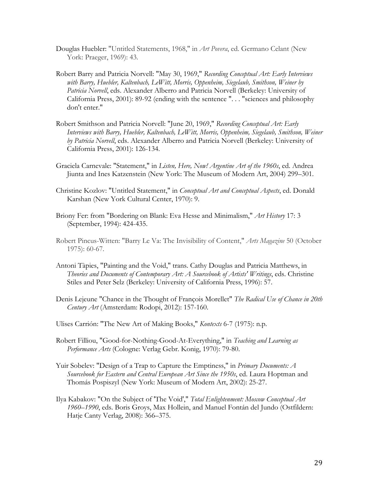- Douglas Huebler: "Untitled Statements, 1968," in *Art Povera*, ed. Germano Celant (New York: Praeger, 1969): 43.
- Robert Barry and Patricia Norvell: "May 30, 1969," *Recording Conceptual Art: Early Interviews with Barry, Huebler, Kaltenbach, LeWitt, Morris, Oppenheim, Siegelaub, Smithson, Weiner by Patricia Norvell*, eds. Alexander Alberro and Patricia Norvell (Berkeley: University of California Press, 2001): 89-92 (ending with the sentence ". . . "sciences and philosophy don't enter."
- Robert Smithson and Patricia Norvell: "June 20, 1969," *Recording Conceptual Art: Early Interviews with Barry, Huebler, Kaltenbach, LeWitt, Morris, Oppenheim, Siegelaub, Smithson, Weiner by Patricia Norvell*, eds. Alexander Alberro and Patricia Norvell (Berkeley: University of California Press, 2001): 126-134.
- Graciela Carnevale: "Statement," in *Listen, Here, Now! Argentine Art of the 1960s*, ed. Andrea Jiunta and Ines Katzenstein (New York: The Museum of Modern Art, 2004) 299–301.
- Christine Kozlov: "Untitled Statement," in *Conceptual Art and Conceptual Aspects*, ed. Donald Karshan (New York Cultural Center, 1970): 9.
- Briony Fer: from "Bordering on Blank: Eva Hesse and Minimalism," *Art History* 17: 3 (September, 1994): 424-435.
- Robert Pincus-Witten: "Barry Le Va: The Invisibility of Content," *Arts Magazine* 50 (October 1975): 60-67.
- Antoni Tàpies, "Painting and the Void," trans. Cathy Douglas and Patricia Matthews, in *Theories and Documents of Contemporary Art: A Sourcebook of Artists' Writings*, eds. Christine Stiles and Peter Selz (Berkeley: University of California Press, 1996): 57.
- Denis Lejeune "Chance in the Thought of François Morellet" *The Radical Use of Chance in 20th Century Art* (Amsterdam: Rodopi, 2012): 157-160.
- Ulises Carrión: "The New Art of Making Books," *Kontexts* 6-7 (1975): n.p.
- Robert Filliou, "Good-for-Nothing-Good-At-Everything," in *Teaching and Learning as Performance Arts* (Cologne: Verlag Gebr. Konig, 1970): 79-80.
- Yuir Sobelev: "Design of a Trap to Capture the Emptiness," in *Primary Documents: A Sourcebook for Eastern and Central European Art Since the 1950s*, ed. Laura Hoptman and Thomás Pospiszyl (New York: Museum of Modern Art, 2002): 25-27.
- Ilya Kabakov: "On the Subject of 'The Void'," *Total Enlightenment: Moscow Conceptual Art 1960–1990*, eds. Boris Groys, Max Hollein, and Manuel Fontán del Jundo (Ostfildern: Hatje Canty Verlag, 2008): 366–375.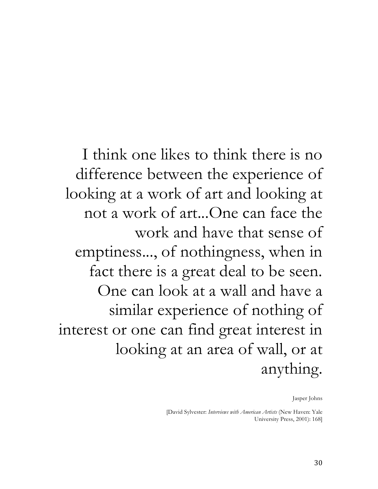I think one likes to think there is no difference between the experience of looking at a work of art and looking at not a work of art...One can face the work and have that sense of emptiness..., of nothingness, when in fact there is a great deal to be seen. One can look at a wall and have a similar experience of nothing of interest or one can find great interest in looking at an area of wall, or at anything.

Jasper Johns

[David Sylvester: *Interviews with American Artists* (New Haven: Yale University Press, 2001): 168]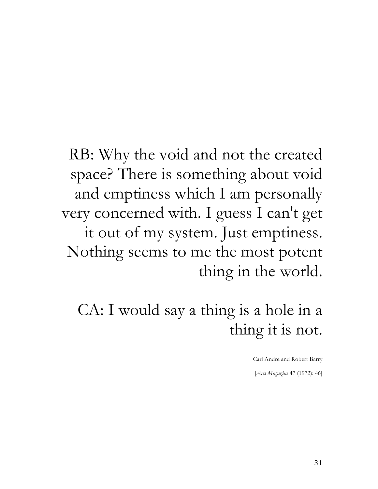RB: Why the void and not the created space? There is something about void and emptiness which I am personally very concerned with. I guess I can't get it out of my system. Just emptiness. Nothing seems to me the most potent thing in the world.

CA: I would say a thing is a hole in a thing it is not.

Carl Andre and Robert Barry

[*Arts Magazine* 47 (1972): 46]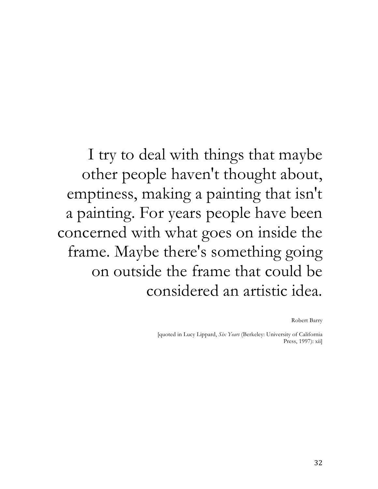I try to deal with things that maybe other people haven't thought about, emptiness, making a painting that isn't a painting. For years people have been concerned with what goes on inside the frame. Maybe there's something going on outside the frame that could be considered an artistic idea.

Robert Barry

[quoted in Lucy Lippard, *Six Years* (Berkeley: University of California Press, 1997): xii]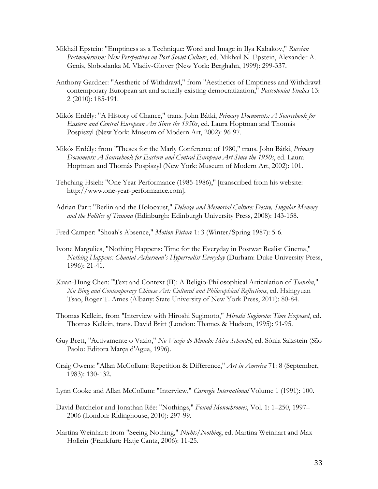- Mikhail Epstein: "Emptiness as a Technique: Word and Image in Ilya Kabakov," *Russian Postmodernism: New Perspectives on Post-Soviet Culture*, ed. Mikhail N. Epstein, Alexander A. Genis, Slobodanka M. Vladiv-Glover (New York: Berghahn, 1999): 299-337.
- Anthony Gardner: "Aesthetic of Withdrawl," from "Aesthetics of Emptiness and Withdrawl: contemporary European art and actually existing democratization," *Postcolonial Studies* 13: 2 (2010): 185-191.
- Mikós Erdély: "A History of Chance," trans. John Bátki, *Primary Documents: A Sourcebook for Eastern and Central European Art Since the 1950s*, ed. Laura Hoptman and Thomás Pospiszyl (New York: Museum of Modern Art, 2002): 96-97.
- Mikós Erdély: from "Theses for the Marly Conference of 1980," trans. John Bátki, *Primary Documents: A Sourcebook for Eastern and Central European Art Since the 1950s*, ed. Laura Hoptman and Thomás Pospiszyl (New York: Museum of Modern Art, 2002): 101.
- Tehching Hsieh: "One Year Performance (1985-1986)," [transcribed from his website: http://www.one-year-performance.com].
- Adrian Parr: "Berlin and the Holocaust," *Deleuze and Memorial Culture: Desire, Singular Memory and the Politics of Trauma* (Edinburgh: Edinburgh University Press, 2008): 143-158.

Fred Camper: "Shoah's Absence," *Motion Picture* 1: 3 (Winter/Spring 1987): 5-6.

- Ivone Margulies, "Nothing Happens: Time for the Everyday in Postwar Realist Cinema," *Nothing Happens: Chantal Ackerman's Hyperrealist Everyday* (Durham: Duke University Press, 1996): 21-41.
- Kuan-Hung Chen: "Text and Context (II): A Religio-Philosophical Articulation of *Tianshu*," *Xu Bing and Contemporary Chinese Art: Cultural and Philosophical Reflections*, ed. Hsingyuan Tsao, Roger T. Ames (Albany: State University of New York Press, 2011): 80-84.
- Thomas Kellein, from "Interview with Hiroshi Sugimoto," *Hiroshi Sugimoto: Time Exposed*, ed. Thomas Kellein, trans. David Britt (London: Thames & Hudson, 1995): 91-95.
- Guy Brett, "Activamente o Vazio," *No Vazio do Mundo: Mira Schendel*, ed. Sônia Salzstein (São Paolo: Editora Marça d'Agua, 1996).
- Craig Owens: "Allan McCollum: Repetition & Difference," *Art in America* 71: 8 (September, 1983): 130-132.
- Lynn Cooke and Allan McCollum: "Interview," *Carnegie International* Volume 1 (1991): 100.
- David Batchelor and Jonathan Rée: "Nothings," *Found Monochromes*, Vol. 1: 1–250, 1997– 2006 (London: Ridinghouse, 2010): 297-99.
- Martina Weinhart: from "Seeing Nothing," *Nichts/Nothing*, ed. Martina Weinhart and Max Hollein (Frankfurt: Hatje Cantz, 2006): 11-25.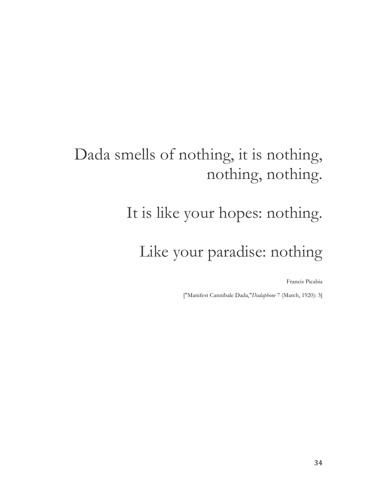## Dada smells of nothing, it is nothing, nothing, nothing.

# It is like your hopes: nothing.

## Like your paradise: nothing

Francis Picabia

["Manifest Cannibale Dada,"*Dadaphone* 7 (March, 1920): 3]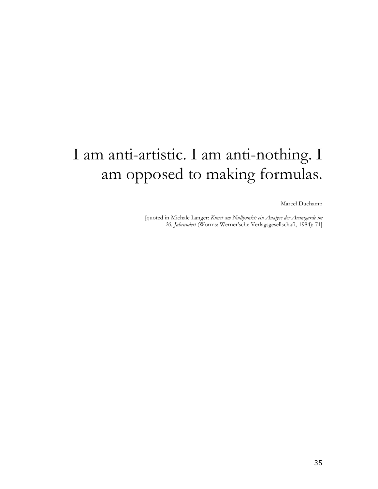## I am anti-artistic. I am anti-nothing. I am opposed to making formulas.

Marcel Duchamp

[quoted in Michale Langer: *Kunst am Nullpunkt: ein Analyse der Avantgarde im 20. Jahrundert* (Worms: Werner'sche Verlagsgesellschaft, 1984): 71]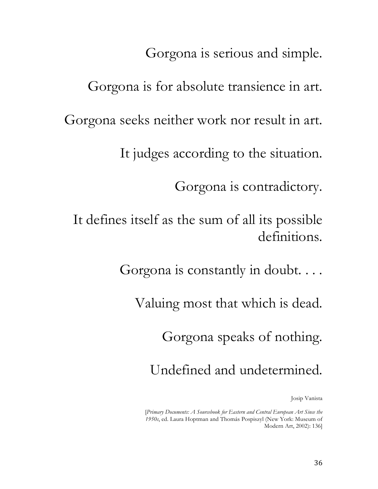Gorgona is serious and simple.

Gorgona is for absolute transience in art. Gorgona seeks neither work nor result in art. It judges according to the situation. Gorgona is contradictory. It defines itself as the sum of all its possible definitions.

Gorgona is constantly in doubt. . . .

Valuing most that which is dead.

Gorgona speaks of nothing.

Undefined and undetermined.

Josip Vanista

[*Primary Documents: A Sourcebook for Eastern and Central European Art Since the 1950s*, ed. Laura Hoptman and Thomás Pospiszyl (New York: Museum of Modern Art, 2002): 136]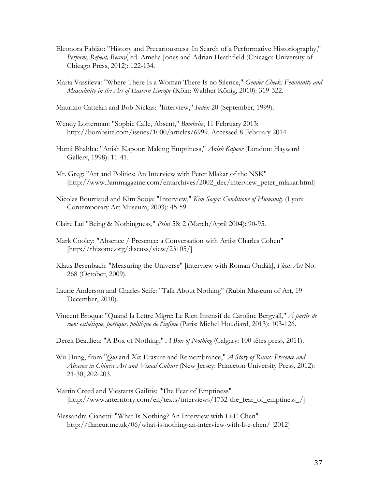- Eleonora Fabião: "History and Precariousness: In Search of a Performative Historiography," *Perform, Repeat, Record*, ed. Amelia Jones and Adrian Heathfield (Chicago: University of Chicago Press, 2012): 122-134.
- Maria Vassileva: "Where There Is a Woman There Is no Silence," *Gender Check: Femininity and Masculinity in the Art of Eastern Europe* (Köln: Walther König, 2010): 319-322.
- Maurizio Cattelan and Bob Nickas: "Interview," *Index* 20 (September, 1999).
- Wendy Lotterman: "Sophie Calle, Absent," *Bombsite*, 11 February 2013: http://bombsite.com/issues/1000/articles/6999. Accessed 8 February 2014.
- Homi Bhabha: "Anish Kapoor: Making Emptiness," *Anish Kapoor* (London: Hayward Gallery, 1998): 11-41.
- Mr. Greg: "Art and Politics: An Interview with Peter Mlakar of the NSK" [http://www.3ammagazine.com/entarchives/2002\_dec/interview\_peter\_mlakar.html]
- Nicolas Bourriaud and Kim Sooja: "Interview," *Kim Sooja: Conditions of Humanity* (Lyon: Contemporary Art Museum, 2003): 45-59.
- Claire Lui "Being & Nothingness," *Print* 58: 2 (March/April 2004): 90-95.
- Mark Cooley: "Absence / Presence: a Conversation with Artist Charles Cohen" [http://rhizome.org/discuss/view/23105/]
- Klaus Besenbach: "Measuring the Universe" [interview with Roman Ondák], *Flash Art* No. 268 (October, 2009).
- Laurie Anderson and Charles Seife: "Talk About Nothing" (Rubin Museum of Art, 19 December, 2010).
- Vincent Broqua: "Quand la Lettre Migre: Le Rien Intensif de Caroline Bergvall," *À partir de rien: esthétique, poétique, politique de l'infime* (Paris: Michel Houdiard, 2013): 103-126.
- Derek Beaulieu: "A Box of Nothing," *A Box of Nothing* (Calgary: 100 têtes press, 2011).
- Wu Hung, from "*Qui* and *Xu*: Erasure and Remembrance," *A Story of Ruins: Presence and Absence in Chinese Art and Visual Culture* (New Jersey: Princeton University Press, 2012): 21-30; 202-203.
- Martin Creed and Viestarts Gailītis: "The Fear of Emptiness" [http://www.arterritory.com/en/texts/interviews/1732-the\_fear\_of\_emptiness\_/]
- Alessandra Cianetti: "What Is Nothing? An Interview with Li-E Chen" http://flaneur.me.uk/06/what-is-nothing-an-interview-with-li-e-chen/ [2012]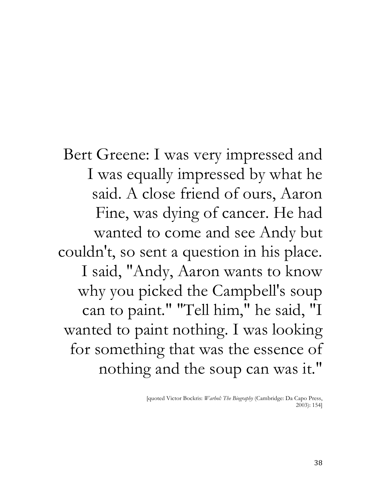Bert Greene: I was very impressed and I was equally impressed by what he said. A close friend of ours, Aaron Fine, was dying of cancer. He had wanted to come and see Andy but couldn't, so sent a question in his place. I said, "Andy, Aaron wants to know why you picked the Campbell's soup can to paint." "Tell him," he said, "I wanted to paint nothing. I was looking for something that was the essence of nothing and the soup can was it."

> [quoted Victor Bockris: *Warhol: The Biography* (Cambridge: Da Capo Press, 2003): 154]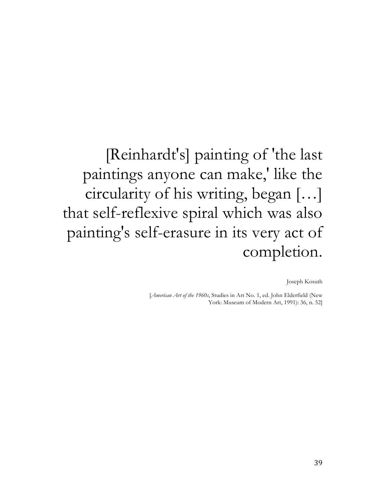[Reinhardt's] painting of 'the last paintings anyone can make,' like the circularity of his writing, began […] that self-reflexive spiral which was also painting's self-erasure in its very act of completion.

Joseph Kosuth

[*American Art of the 1960s*, Studies in Art No. 1, ed. John Elderfield (New York: Museum of Modern Art, 1991): 36, n. 52]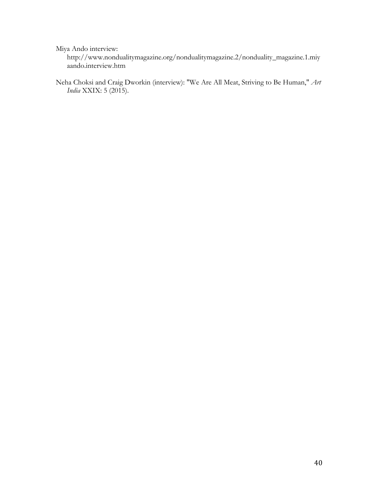Miya Ando interview:

http://www.nondualitymagazine.org/nondualitymagazine.2/nonduality\_magazine.1.miy aando.interview.htm

Neha Choksi and Craig Dworkin (interview): "We Are All Meat, Striving to Be Human," *Art India* XXIX: 5 (2015).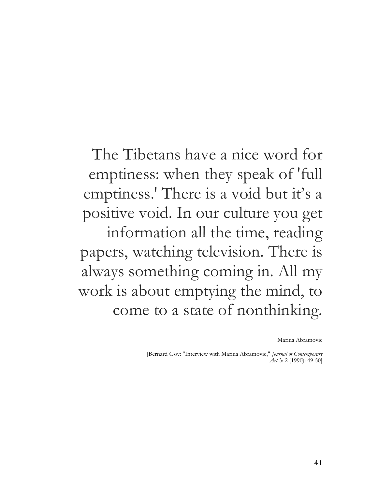The Tibetans have a nice word for emptiness: when they speak of 'full emptiness.' There is a void but it's a positive void. In our culture you get information all the time, reading papers, watching television. There is always something coming in. All my work is about emptying the mind, to come to a state of nonthinking.

Marina Abramovic

[Bernard Goy: "Interview with Marina Abramovic," *Journal of Contemporary Art* 3: 2 (1990): 49-50]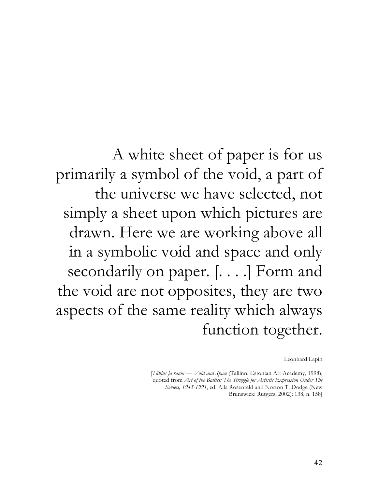A white sheet of paper is for us primarily a symbol of the void, a part of the universe we have selected, not simply a sheet upon which pictures are drawn. Here we are working above all in a symbolic void and space and only secondarily on paper. [. . . .] Form and the void are not opposites, they are two aspects of the same reality which always function together.

Leonhard Lapin

[*Tühjus ja raum — Void and Space* (Tallinn: Estonian Art Academy, 1998); quoted from *Art of the Baltics: The Struggle for Artistic Expression Under The Soviets, 1945-1991*, ed. Alla Rosenfeld and Norton T. Dodge (New Brunswick: Rutgers, 2002): 138, n. 158]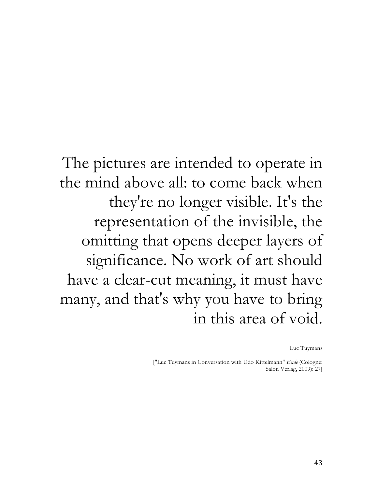The pictures are intended to operate in the mind above all: to come back when they're no longer visible. It's the representation of the invisible, the omitting that opens deeper layers of significance. No work of art should have a clear-cut meaning, it must have many, and that's why you have to bring in this area of void.

Luc Tuymans

["Luc Tuymans in Conversation with Udo Kittelmann" *Ende* (Cologne: Salon Verlag, 2009): 27]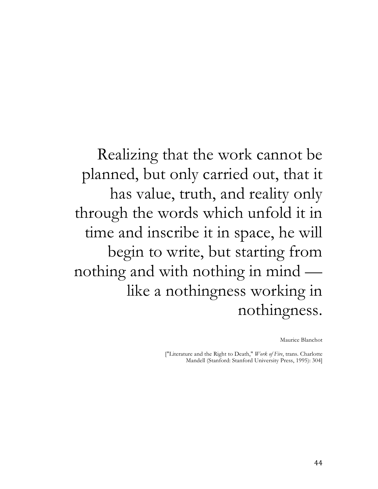Realizing that the work cannot be planned, but only carried out, that it has value, truth, and reality only through the words which unfold it in time and inscribe it in space, he will begin to write, but starting from nothing and with nothing in mind like a nothingness working in nothingness.

Maurice Blanchot

["Literature and the Right to Death," *Work of Fire*, trans. Charlotte Mandell (Stanford: Stanford University Press, 1995): 304]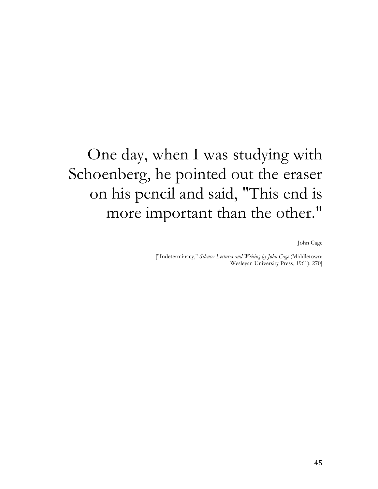## One day, when I was studying with Schoenberg, he pointed out the eraser on his pencil and said, "This end is more important than the other."

John Cage

["Indeterminacy," *Silence: Lectures and Writing by John Cage* (Middletown: Wesleyan University Press, 1961): 270]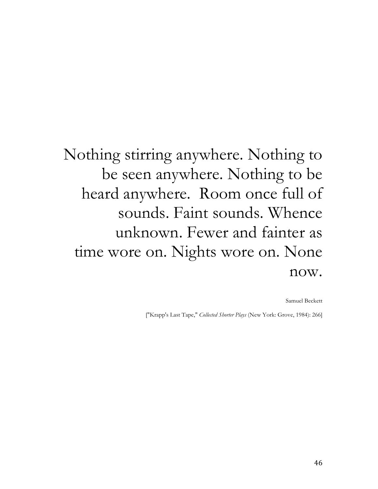## Nothing stirring anywhere. Nothing to be seen anywhere. Nothing to be heard anywhere. Room once full of sounds. Faint sounds. Whence unknown. Fewer and fainter as time wore on. Nights wore on. None now.

Samuel Beckett

["Krapp's Last Tape," *Collected Shorter Plays* (New York: Grove, 1984): 266]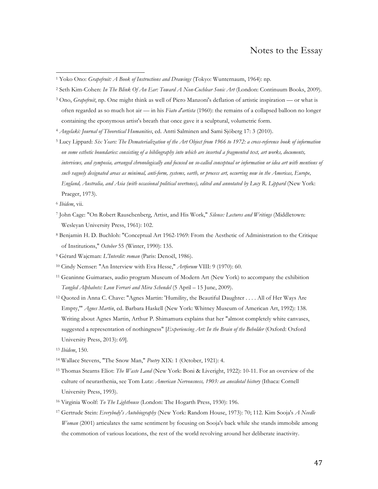#### Notes to the Essay

- <sup>3</sup> Ono, *Grapefruit*, np. One might think as well of Piero Manzoni's deflation of artistic inspiration or what is often regarded as so much hot air — in his *Fiato d'artista* (1960): the remains of a collapsed balloon no longer containing the eponymous artist's breath that once gave it a sculptural, volumetric form.
- <sup>4</sup> *Angelaki: Journal of Theoretical Humanities*, ed. Antti Salminen and Sami Sjöberg 17: 3 (2010).
- <sup>5</sup> Lucy Lippard: *Six Years: The Dematerialization of the Art Object from 1966 to 1972: a cross-reference book of information on some esthetic boundaries: consisting of a bibliography into which are inserted a fragmented text, art works, documents, interviews, and symposia, arranged chronologically and focused on so-called conceptual or information or idea art with mentions of such vaguely designated areas as minimal, anti-form, systems, earth, or process art, occurring now in the Americas, Europe, England, Australia, and Asia (with occasional political overtones), edited and annotated by Lucy R. Lippard* (New York: Praeger, 1973).

 

- <sup>7</sup> John Cage: "On Robert Rauschenberg, Artist, and His Work," *Silence: Lectures and Writings* (Middletown: Wesleyan University Press, 1961): 102.
- <sup>8</sup> Benjamin H. D. Buchloh: "Conceptual Art 1962-1969: From the Aesthetic of Administration to the Critique of Institutions," *October* 55 (Winter, 1990): 135.
- <sup>9</sup> Gérard Wajcman: *L'Interdit: roman* (Paris: Denoël, 1986).
- <sup>10</sup> Cindy Nemser: "An Interview with Eva Hesse," *Artforum* VIII: 9 (1970): 60.
- <sup>11</sup> Geaninne Guimaraes, audio program Museum of Modern Art (New York) to accompany the exhibition *Tangled Alphabets: Leon Ferrari and Mira Schendel* (5 April – 15 June, 2009).
- <sup>12</sup> Quoted in Anna C. Chave: "Agnes Martin: 'Humility, the Beautiful Daughter . . . . All of Her Ways Are Empty,'" *Agnes Martin*, ed. Barbara Haskell (New York: Whitney Museum of American Art, 1992): 138. Writing about Agnes Martin, Arthur P. Shimamura explains that her "almost completely white canvases, suggested a representation of nothingness" [*Experiencing Art: In the Brain of the Beholder* (Oxford: Oxford University Press, 2013): 69].

<sup>13</sup> *Ibidem*, 150.

- <sup>14</sup> Wallace Stevens, "The Snow Man," *Poetry* XIX: 1 (October, 1921): 4.
- <sup>15</sup> Thomas Stearns Eliot: *The Waste Land* (New York: Boni & Liveright, 1922): 10-11. For an overview of the culture of neurasthenia, see Tom Lutz: *American Nervousness, 1903: an anecdotal history* (Ithaca: Cornell University Press, 1993).
- <sup>16</sup> Virginia Woolf: *To The Lighthouse* (London: The Hogarth Press, 1930): 196.
- <sup>17</sup> Gertrude Stein: *Everybody's Autobiography* (New York: Random House, 1973): 70; 112. Kim Sooja's *A Needle Woman* (2001) articulates the same sentiment by focusing on Sooja's back while she stands immobile among the commotion of various locations, the rest of the world revolving around her deliberate inactivity.

<sup>1</sup> Yoko Ono: *Grapefruit: A Book of Instructions and Drawings* (Tokyo: Wunternaum, 1964): np.

<sup>2</sup> Seth Kim-Cohen: *In The Blink Of An Ear: Toward A Non-Cochlear Sonic Art* (London: Continuum Books, 2009).

<sup>6</sup> *Ibidem*, vii.